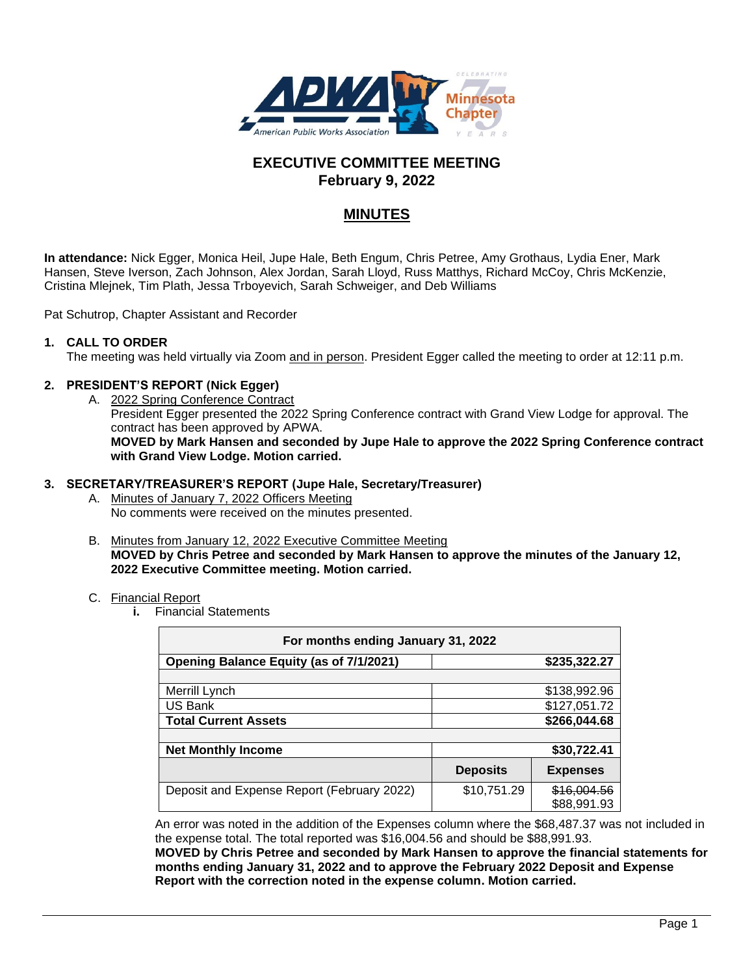

# **EXECUTIVE COMMITTEE MEETING February 9, 2022**

# **MINUTES**

**In attendance:** Nick Egger, Monica Heil, Jupe Hale, Beth Engum, Chris Petree, Amy Grothaus, Lydia Ener, Mark Hansen, Steve Iverson, Zach Johnson, Alex Jordan, Sarah Lloyd, Russ Matthys, Richard McCoy, Chris McKenzie, Cristina Mlejnek, Tim Plath, Jessa Trboyevich, Sarah Schweiger, and Deb Williams

Pat Schutrop, Chapter Assistant and Recorder

#### **1. CALL TO ORDER**

The meeting was held virtually via Zoom and in person. President Egger called the meeting to order at 12:11 p.m.

#### **2. PRESIDENT'S REPORT (Nick Egger)**

A. 2022 Spring Conference Contract President Egger presented the 2022 Spring Conference contract with Grand View Lodge for approval. The contract has been approved by APWA. **MOVED by Mark Hansen and seconded by Jupe Hale to approve the 2022 Spring Conference contract with Grand View Lodge. Motion carried.**

#### **3. SECRETARY/TREASURER'S REPORT (Jupe Hale, Secretary/Treasurer)**

- A. Minutes of January 7, 2022 Officers Meeting No comments were received on the minutes presented.
- B. Minutes from January 12, 2022 Executive Committee Meeting **MOVED by Chris Petree and seconded by Mark Hansen to approve the minutes of the January 12, 2022 Executive Committee meeting. Motion carried.**

#### C. Financial Report

**i.** Financial Statements

| For months ending January 31, 2022             |                 |                            |
|------------------------------------------------|-----------------|----------------------------|
| <b>Opening Balance Equity (as of 7/1/2021)</b> |                 | \$235,322.27               |
|                                                |                 |                            |
| Merrill Lynch                                  |                 | \$138,992.96               |
| US Bank                                        |                 | \$127,051.72               |
| <b>Total Current Assets</b>                    |                 | \$266,044.68               |
|                                                |                 |                            |
| <b>Net Monthly Income</b>                      |                 | \$30,722.41                |
|                                                | <b>Deposits</b> | <b>Expenses</b>            |
| Deposit and Expense Report (February 2022)     | \$10,751.29     | \$16,004.56<br>\$88,991.93 |

An error was noted in the addition of the Expenses column where the \$68,487.37 was not included in the expense total. The total reported was \$16,004.56 and should be \$88,991.93.

**MOVED by Chris Petree and seconded by Mark Hansen to approve the financial statements for months ending January 31, 2022 and to approve the February 2022 Deposit and Expense Report with the correction noted in the expense column. Motion carried.**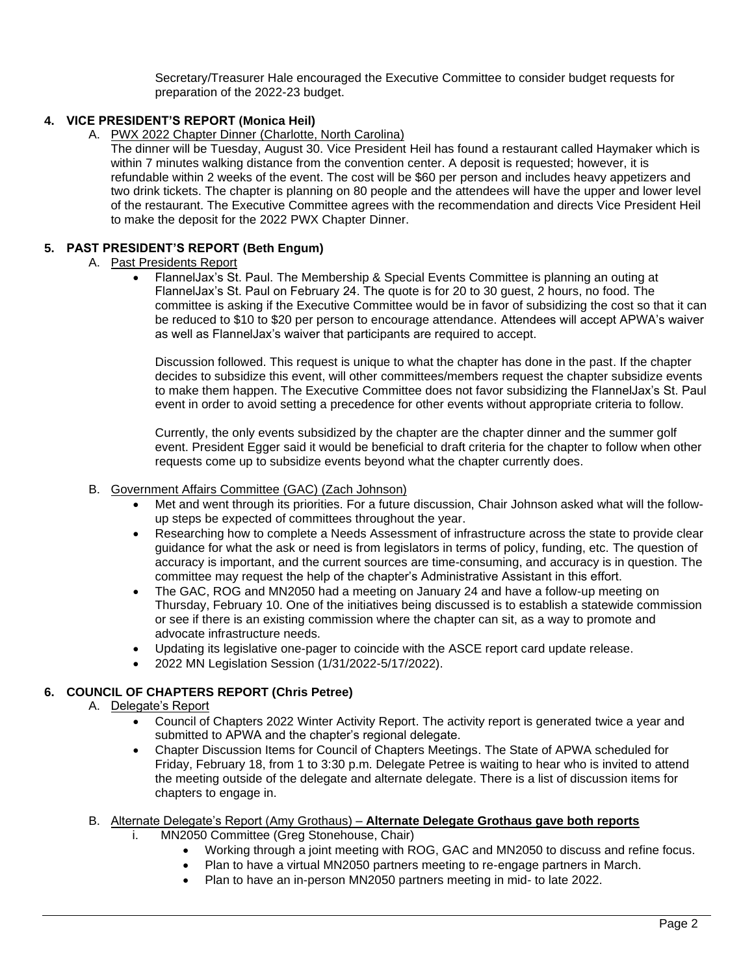Secretary/Treasurer Hale encouraged the Executive Committee to consider budget requests for preparation of the 2022-23 budget.

## **4. VICE PRESIDENT'S REPORT (Monica Heil)**

- A. PWX 2022 Chapter Dinner (Charlotte, North Carolina)
	- The dinner will be Tuesday, August 30. Vice President Heil has found a restaurant called Haymaker which is within 7 minutes walking distance from the convention center. A deposit is requested; however, it is refundable within 2 weeks of the event. The cost will be \$60 per person and includes heavy appetizers and two drink tickets. The chapter is planning on 80 people and the attendees will have the upper and lower level of the restaurant. The Executive Committee agrees with the recommendation and directs Vice President Heil to make the deposit for the 2022 PWX Chapter Dinner.

## **5. PAST PRESIDENT'S REPORT (Beth Engum)**

- A. Past Presidents Report
	- FlannelJax's St. Paul. The Membership & Special Events Committee is planning an outing at FlannelJax's St. Paul on February 24. The quote is for 20 to 30 guest, 2 hours, no food. The committee is asking if the Executive Committee would be in favor of subsidizing the cost so that it can be reduced to \$10 to \$20 per person to encourage attendance. Attendees will accept APWA's waiver as well as FlannelJax's waiver that participants are required to accept.

Discussion followed. This request is unique to what the chapter has done in the past. If the chapter decides to subsidize this event, will other committees/members request the chapter subsidize events to make them happen. The Executive Committee does not favor subsidizing the FlannelJax's St. Paul event in order to avoid setting a precedence for other events without appropriate criteria to follow.

Currently, the only events subsidized by the chapter are the chapter dinner and the summer golf event. President Egger said it would be beneficial to draft criteria for the chapter to follow when other requests come up to subsidize events beyond what the chapter currently does.

#### B. Government Affairs Committee (GAC) (Zach Johnson)

- Met and went through its priorities. For a future discussion, Chair Johnson asked what will the followup steps be expected of committees throughout the year.
- Researching how to complete a Needs Assessment of infrastructure across the state to provide clear guidance for what the ask or need is from legislators in terms of policy, funding, etc. The question of accuracy is important, and the current sources are time-consuming, and accuracy is in question. The committee may request the help of the chapter's Administrative Assistant in this effort.
- The GAC, ROG and MN2050 had a meeting on January 24 and have a follow-up meeting on Thursday, February 10. One of the initiatives being discussed is to establish a statewide commission or see if there is an existing commission where the chapter can sit, as a way to promote and advocate infrastructure needs.
- Updating its legislative one-pager to coincide with the ASCE report card update release.
- 2022 MN Legislation Session (1/31/2022-5/17/2022).

## **6. COUNCIL OF CHAPTERS REPORT (Chris Petree)**

A. Delegate's Report

- Council of Chapters 2022 Winter Activity Report. The activity report is generated twice a year and submitted to APWA and the chapter's regional delegate.
- Chapter Discussion Items for Council of Chapters Meetings. The State of APWA scheduled for Friday, February 18, from 1 to 3:30 p.m. Delegate Petree is waiting to hear who is invited to attend the meeting outside of the delegate and alternate delegate. There is a list of discussion items for chapters to engage in.
- B. Alternate Delegate's Report (Amy Grothaus) **Alternate Delegate Grothaus gave both reports**
	- i. MN2050 Committee (Greg Stonehouse, Chair)
		- Working through a joint meeting with ROG, GAC and MN2050 to discuss and refine focus.
		- Plan to have a virtual MN2050 partners meeting to re-engage partners in March.
		- Plan to have an in-person MN2050 partners meeting in mid- to late 2022.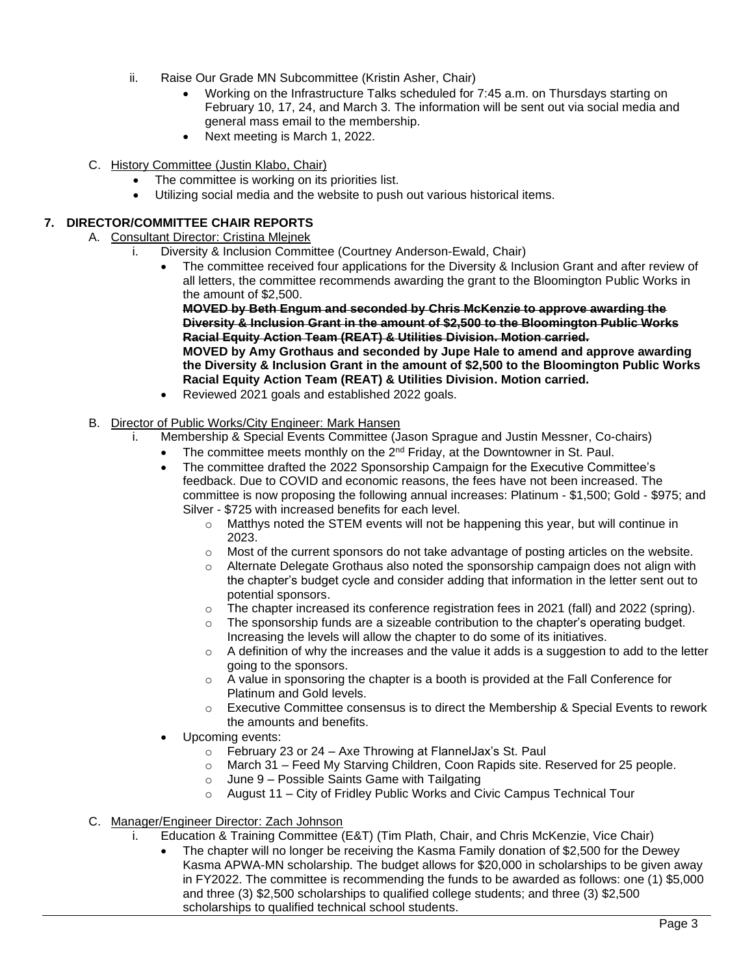- ii. Raise Our Grade MN Subcommittee (Kristin Asher, Chair)
	- Working on the Infrastructure Talks scheduled for 7:45 a.m. on Thursdays starting on February 10, 17, 24, and March 3. The information will be sent out via social media and general mass email to the membership.
	- Next meeting is March 1, 2022.
- C. History Committee (Justin Klabo, Chair)
	- The committee is working on its priorities list.
	- Utilizing social media and the website to push out various historical items.

## **7. DIRECTOR/COMMITTEE CHAIR REPORTS**

- A. Consultant Director: Cristina Mlejnek
	- i. Diversity & Inclusion Committee (Courtney Anderson-Ewald, Chair)
		- The committee received four applications for the Diversity & Inclusion Grant and after review of all letters, the committee recommends awarding the grant to the Bloomington Public Works in the amount of \$2,500.

**MOVED by Beth Engum and seconded by Chris McKenzie to approve awarding the Diversity & Inclusion Grant in the amount of \$2,500 to the Bloomington Public Works Racial Equity Action Team (REAT) & Utilities Division. Motion carried.**

**MOVED by Amy Grothaus and seconded by Jupe Hale to amend and approve awarding the Diversity & Inclusion Grant in the amount of \$2,500 to the Bloomington Public Works Racial Equity Action Team (REAT) & Utilities Division. Motion carried.**

- Reviewed 2021 goals and established 2022 goals.
- B. Director of Public Works/City Engineer: Mark Hansen
	- i. Membership & Special Events Committee (Jason Sprague and Justin Messner, Co-chairs)
		- The committee meets monthly on the  $2<sup>nd</sup>$  Friday, at the Downtowner in St. Paul.
		- The committee drafted the 2022 Sponsorship Campaign for the Executive Committee's feedback. Due to COVID and economic reasons, the fees have not been increased. The committee is now proposing the following annual increases: Platinum - \$1,500; Gold - \$975; and Silver - \$725 with increased benefits for each level.
			- $\circ$  Matthys noted the STEM events will not be happening this year, but will continue in 2023.
			- $\circ$  Most of the current sponsors do not take advantage of posting articles on the website.
			- $\circ$  Alternate Delegate Grothaus also noted the sponsorship campaign does not align with the chapter's budget cycle and consider adding that information in the letter sent out to potential sponsors.
			- o The chapter increased its conference registration fees in 2021 (fall) and 2022 (spring).
			- o The sponsorship funds are a sizeable contribution to the chapter's operating budget. Increasing the levels will allow the chapter to do some of its initiatives.
			- $\circ$  A definition of why the increases and the value it adds is a suggestion to add to the letter going to the sponsors.
			- $\circ$  A value in sponsoring the chapter is a booth is provided at the Fall Conference for Platinum and Gold levels.
			- $\circ$  Executive Committee consensus is to direct the Membership & Special Events to rework the amounts and benefits.
		- Upcoming events:
			- $\circ$  February 23 or 24 Axe Throwing at Flannel Jax's St. Paul
			- o March 31 Feed My Starving Children, Coon Rapids site. Reserved for 25 people.
			- $\circ$  June 9 Possible Saints Game with Tailgating
			- $\circ$  August 11 City of Fridley Public Works and Civic Campus Technical Tour
- C. Manager/Engineer Director: Zach Johnson
	- i. Education & Training Committee (E&T) (Tim Plath, Chair, and Chris McKenzie, Vice Chair)
		- The chapter will no longer be receiving the Kasma Family donation of \$2,500 for the Dewey Kasma APWA-MN scholarship. The budget allows for \$20,000 in scholarships to be given away in FY2022. The committee is recommending the funds to be awarded as follows: one (1) \$5,000 and three (3) \$2,500 scholarships to qualified college students; and three (3) \$2,500 scholarships to qualified technical school students.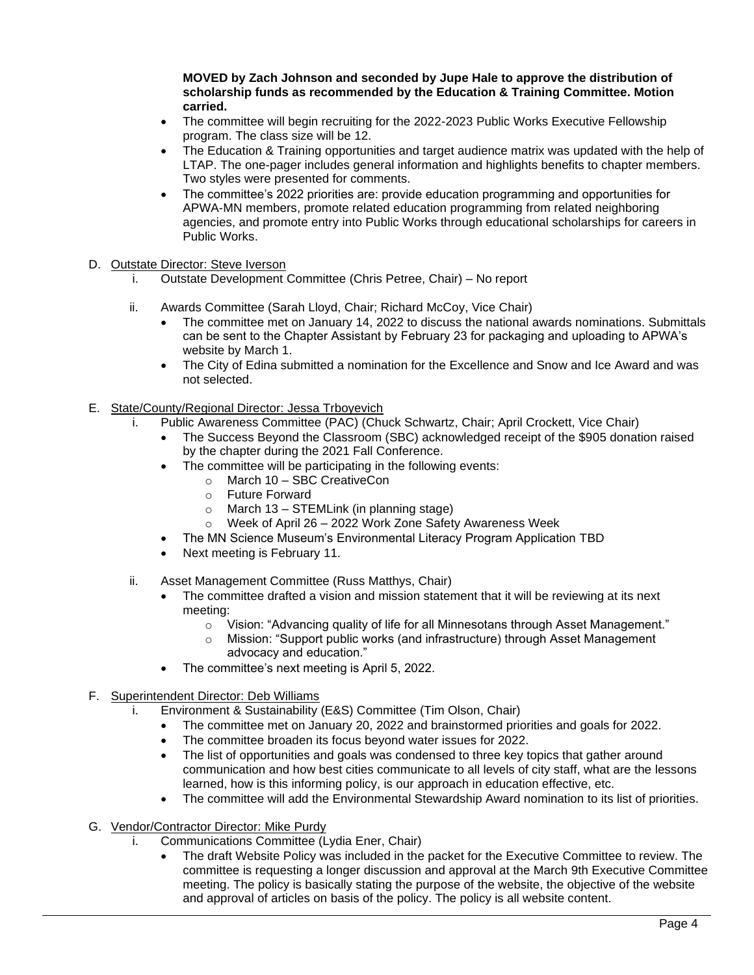**MOVED by Zach Johnson and seconded by Jupe Hale to approve the distribution of scholarship funds as recommended by the Education & Training Committee. Motion carried.**

- The committee will begin recruiting for the 2022-2023 Public Works Executive Fellowship program. The class size will be 12.
- The Education & Training opportunities and target audience matrix was updated with the help of LTAP. The one-pager includes general information and highlights benefits to chapter members. Two styles were presented for comments.
- The committee's 2022 priorities are: provide education programming and opportunities for APWA-MN members, promote related education programming from related neighboring agencies, and promote entry into Public Works through educational scholarships for careers in Public Works.
- D. Outstate Director: Steve Iverson
	- i. Outstate Development Committee (Chris Petree, Chair) No report
	- ii. Awards Committee (Sarah Lloyd, Chair; Richard McCoy, Vice Chair)
		- The committee met on January 14, 2022 to discuss the national awards nominations. Submittals can be sent to the Chapter Assistant by February 23 for packaging and uploading to APWA's website by March 1.
		- The City of Edina submitted a nomination for the Excellence and Snow and Ice Award and was not selected.
- E. State/County/Regional Director: Jessa Trboyevich
	- i. Public Awareness Committee (PAC) (Chuck Schwartz, Chair; April Crockett, Vice Chair)
		- The Success Beyond the Classroom (SBC) acknowledged receipt of the \$905 donation raised by the chapter during the 2021 Fall Conference.
		- The committee will be participating in the following events:
			- o March 10 SBC CreativeCon
			- o Future Forward
			- $\circ$  March 13 STEMLink (in planning stage)
			- o Week of April 26 2022 Work Zone Safety Awareness Week
		- The MN Science Museum's Environmental Literacy Program Application TBD
		- Next meeting is February 11.
	- ii. Asset Management Committee (Russ Matthys, Chair)
		- The committee drafted a vision and mission statement that it will be reviewing at its next meeting:
			- $\circ$  Vision: "Advancing quality of life for all Minnesotans through Asset Management."
			- o Mission: "Support public works (and infrastructure) through Asset Management advocacy and education."
		- The committee's next meeting is April 5, 2022.
- F. Superintendent Director: Deb Williams
	- i. Environment & Sustainability (E&S) Committee (Tim Olson, Chair)
		- The committee met on January 20, 2022 and brainstormed priorities and goals for 2022.
		- The committee broaden its focus beyond water issues for 2022.
		- The list of opportunities and goals was condensed to three key topics that gather around communication and how best cities communicate to all levels of city staff, what are the lessons learned, how is this informing policy, is our approach in education effective, etc.
		- The committee will add the Environmental Stewardship Award nomination to its list of priorities.
- G. Vendor/Contractor Director: Mike Purdy
	- i. Communications Committee (Lydia Ener, Chair)
		- The draft Website Policy was included in the packet for the Executive Committee to review. The committee is requesting a longer discussion and approval at the March 9th Executive Committee meeting. The policy is basically stating the purpose of the website, the objective of the website and approval of articles on basis of the policy. The policy is all website content.